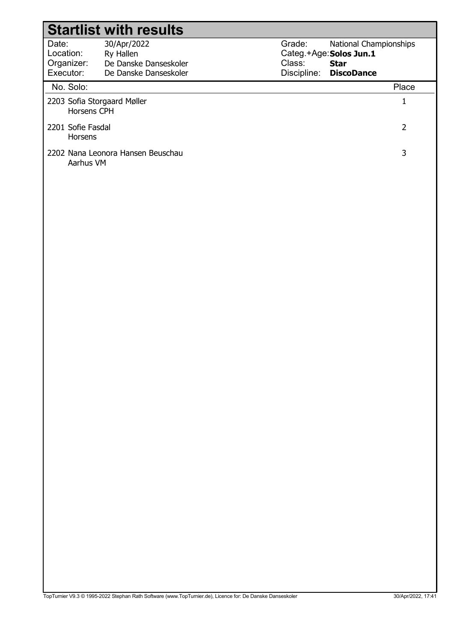|                                               | <b>Startlist with results</b>                                              |                  |                                                                                            |
|-----------------------------------------------|----------------------------------------------------------------------------|------------------|--------------------------------------------------------------------------------------------|
| Date:<br>Location:<br>Organizer:<br>Executor: | 30/Apr/2022<br>Ry Hallen<br>De Danske Danseskoler<br>De Danske Danseskoler | Grade:<br>Class: | National Championships<br>Categ.+Age: Solos Jun.1<br><b>Star</b><br>Discipline: DiscoDance |
| No. Solo:                                     |                                                                            |                  | Place                                                                                      |
| 2203 Sofia Storgaard Møller<br>Horsens CPH    |                                                                            |                  | $\mathbf{1}$                                                                               |
| 2201 Sofie Fasdal<br>Horsens                  |                                                                            |                  | $\overline{2}$                                                                             |
| Aarhus VM                                     | 2202 Nana Leonora Hansen Beuschau                                          |                  | 3                                                                                          |
|                                               |                                                                            |                  |                                                                                            |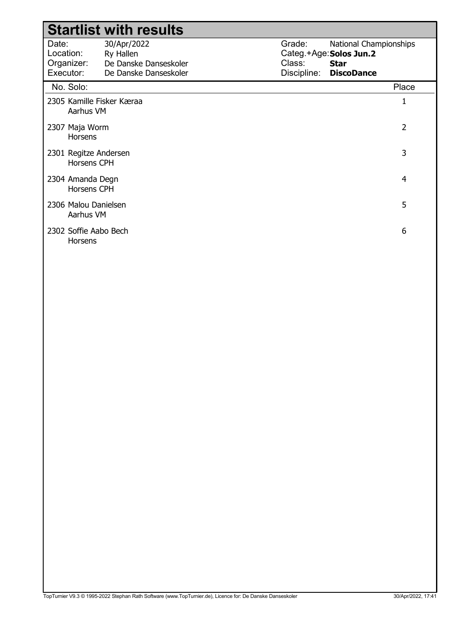|                                               | <b>Startlist with results</b>                                              |                                 |                                                                                       |  |
|-----------------------------------------------|----------------------------------------------------------------------------|---------------------------------|---------------------------------------------------------------------------------------|--|
| Date:<br>Location:<br>Organizer:<br>Executor: | 30/Apr/2022<br>Ry Hallen<br>De Danske Danseskoler<br>De Danske Danseskoler | Grade:<br>Class:<br>Discipline: | National Championships<br>Categ.+Age: Solos Jun.2<br><b>Star</b><br><b>DiscoDance</b> |  |
| No. Solo:                                     |                                                                            |                                 | Place                                                                                 |  |
| 2305 Kamille Fisker Kæraa<br>Aarhus VM        |                                                                            |                                 | 1                                                                                     |  |
| 2307 Maja Worm<br><b>Horsens</b>              |                                                                            |                                 | $\overline{2}$                                                                        |  |
| 2301 Regitze Andersen<br><b>Horsens CPH</b>   |                                                                            |                                 | 3                                                                                     |  |
| 2304 Amanda Degn<br><b>Horsens CPH</b>        |                                                                            |                                 | 4                                                                                     |  |
| 2306 Malou Danielsen<br>Aarhus VM             |                                                                            |                                 | 5                                                                                     |  |
| 2302 Soffie Aabo Bech<br>Horsens              |                                                                            |                                 | 6                                                                                     |  |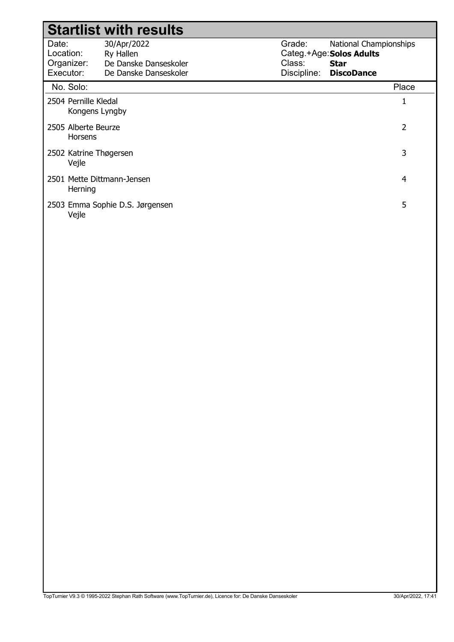|                                               | <b>Startlist with results</b>                                              |                                 |                                                                                        |       |
|-----------------------------------------------|----------------------------------------------------------------------------|---------------------------------|----------------------------------------------------------------------------------------|-------|
| Date:<br>Location:<br>Organizer:<br>Executor: | 30/Apr/2022<br>Ry Hallen<br>De Danske Danseskoler<br>De Danske Danseskoler | Grade:<br>Class:<br>Discipline: | National Championships<br>Categ.+Age: Solos Adults<br><b>Star</b><br><b>DiscoDance</b> |       |
| No. Solo:                                     |                                                                            |                                 |                                                                                        | Place |
| 2504 Pernille Kledal<br>Kongens Lyngby        |                                                                            |                                 |                                                                                        |       |
| 2505 Alberte Beurze<br><b>Horsens</b>         |                                                                            |                                 |                                                                                        | 2     |
| 2502 Katrine Thøgersen<br>Vejle               |                                                                            |                                 |                                                                                        | 3     |
| 2501 Mette Dittmann-Jensen<br>Herning         |                                                                            |                                 |                                                                                        | 4     |
| Vejle                                         | 2503 Emma Sophie D.S. Jørgensen                                            |                                 |                                                                                        | 5     |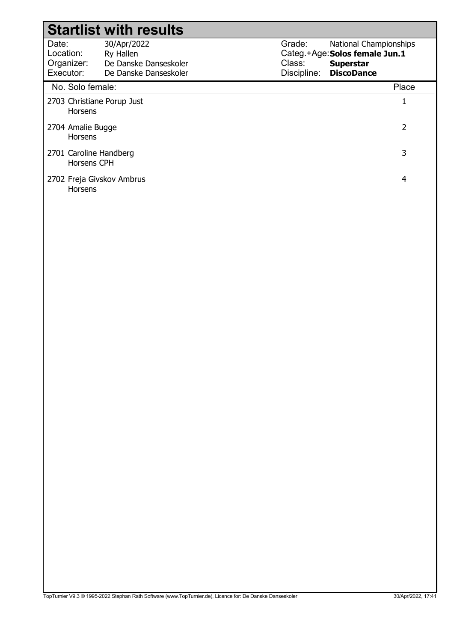|                                               | <b>Startlist with results</b>                                              |                                 |                                                                                                   |
|-----------------------------------------------|----------------------------------------------------------------------------|---------------------------------|---------------------------------------------------------------------------------------------------|
| Date:<br>Location:<br>Organizer:<br>Executor: | 30/Apr/2022<br>Ry Hallen<br>De Danske Danseskoler<br>De Danske Danseskoler | Grade:<br>Class:<br>Discipline: | National Championships<br>Categ.+Age: Solos female Jun.1<br><b>Superstar</b><br><b>DiscoDance</b> |
| No. Solo female:                              |                                                                            |                                 | Place                                                                                             |
| 2703 Christiane Porup Just<br><b>Horsens</b>  |                                                                            |                                 | 1                                                                                                 |
| 2704 Amalie Bugge<br><b>Horsens</b>           |                                                                            |                                 | 2                                                                                                 |
| 2701 Caroline Handberg<br>Horsens CPH         |                                                                            |                                 | 3                                                                                                 |
| 2702 Freja Givskov Ambrus<br><b>Horsens</b>   |                                                                            |                                 | 4                                                                                                 |
|                                               |                                                                            |                                 |                                                                                                   |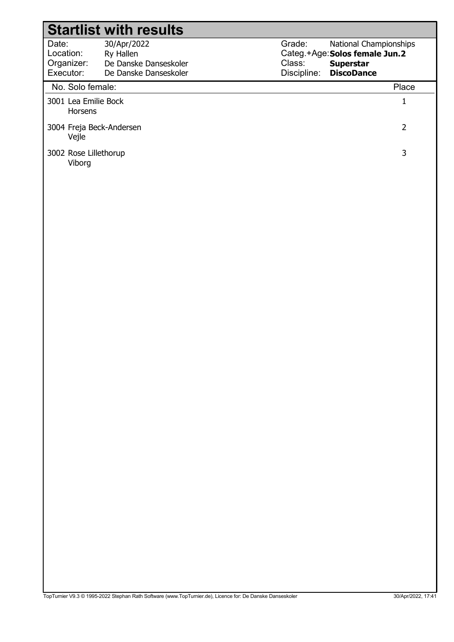|                                        | <b>Startlist with results</b> |             |                                |       |
|----------------------------------------|-------------------------------|-------------|--------------------------------|-------|
| Date:                                  | 30/Apr/2022                   | Grade:      | <b>National Championships</b>  |       |
| Location:                              | Ry Hallen                     |             | Categ.+Age: Solos female Jun.2 |       |
| Organizer:                             | De Danske Danseskoler         | Class:      | <b>Superstar</b>               |       |
| Executor:                              | De Danske Danseskoler         | Discipline: | <b>DiscoDance</b>              |       |
| No. Solo female:                       |                               |             |                                | Place |
| 3001 Lea Emilie Bock<br><b>Horsens</b> |                               |             |                                |       |
| 3004 Freja Beck-Andersen<br>Vejle      |                               |             |                                | 2     |
| 3002 Rose Lillethorup<br>Viborg        |                               |             |                                | 3     |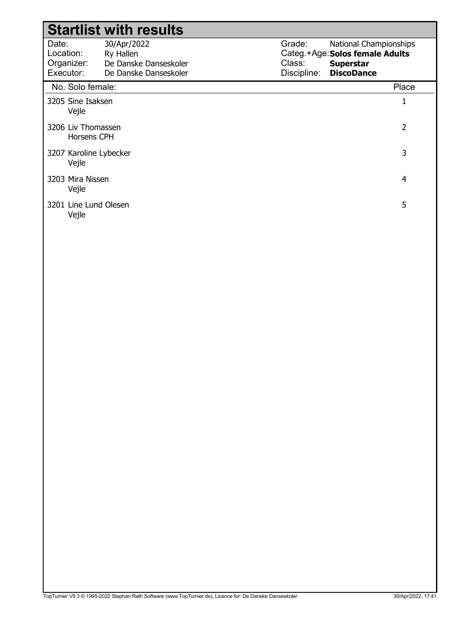|                                               | <b>Startlist with results</b>                                              |                                 |                                                                                                    |
|-----------------------------------------------|----------------------------------------------------------------------------|---------------------------------|----------------------------------------------------------------------------------------------------|
| Date:<br>Location:<br>Organizer:<br>Executor: | 30/Apr/2022<br>Ry Hallen<br>De Danske Danseskoler<br>De Danske Danseskoler | Grade:<br>Class:<br>Discipline: | National Championships<br>Categ.+Age: Solos female Adults<br><b>Superstar</b><br><b>DiscoDance</b> |
| No. Solo female:                              |                                                                            |                                 | Place                                                                                              |
| 3205 Sine Isaksen<br>Vejle                    |                                                                            |                                 | 1                                                                                                  |
| 3206 Liv Thomassen<br>Horsens CPH             |                                                                            |                                 | 2                                                                                                  |
| 3207 Karoline Lybecker<br>Vejle               |                                                                            |                                 | 3                                                                                                  |
| 3203 Mira Nissen<br>Vejle                     |                                                                            |                                 | 4                                                                                                  |
| 3201 Line Lund Olesen<br>Vejle                |                                                                            |                                 | 5                                                                                                  |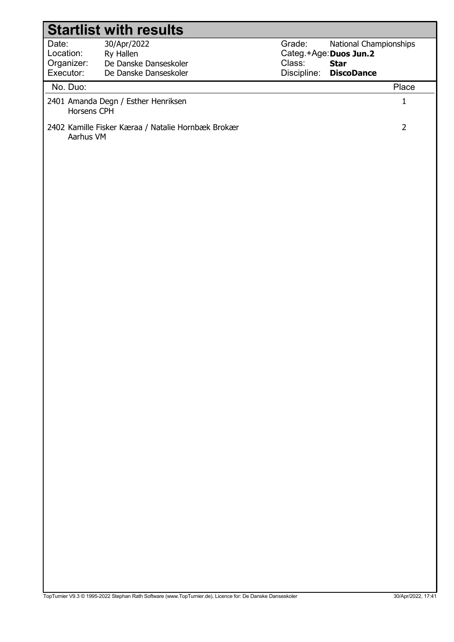|                                               | <b>Startlist with results</b>                                              |                                                           |                                                            |  |
|-----------------------------------------------|----------------------------------------------------------------------------|-----------------------------------------------------------|------------------------------------------------------------|--|
| Date:<br>Location:<br>Organizer:<br>Executor: | 30/Apr/2022<br>Ry Hallen<br>De Danske Danseskoler<br>De Danske Danseskoler | Grade:<br>Categ.+Age: Duos Jun.2<br>Class:<br>Discipline: | National Championships<br><b>Star</b><br><b>DiscoDance</b> |  |
| No. Duo:                                      |                                                                            |                                                           | Place                                                      |  |
| Horsens CPH                                   | 2401 Amanda Degn / Esther Henriksen                                        |                                                           | $\mathbf 1$                                                |  |
| Aarhus VM                                     | 2402 Kamille Fisker Kæraa / Natalie Hornbæk Brokær                         |                                                           | $\overline{2}$                                             |  |
|                                               |                                                                            |                                                           |                                                            |  |
|                                               |                                                                            |                                                           |                                                            |  |
|                                               |                                                                            |                                                           |                                                            |  |
|                                               |                                                                            |                                                           |                                                            |  |
|                                               |                                                                            |                                                           |                                                            |  |
|                                               |                                                                            |                                                           |                                                            |  |
|                                               |                                                                            |                                                           |                                                            |  |
|                                               |                                                                            |                                                           |                                                            |  |
|                                               |                                                                            |                                                           |                                                            |  |
|                                               |                                                                            |                                                           |                                                            |  |
|                                               |                                                                            |                                                           |                                                            |  |
|                                               |                                                                            |                                                           |                                                            |  |
|                                               |                                                                            |                                                           |                                                            |  |
|                                               |                                                                            |                                                           |                                                            |  |
|                                               |                                                                            |                                                           |                                                            |  |
|                                               |                                                                            |                                                           |                                                            |  |
|                                               |                                                                            |                                                           |                                                            |  |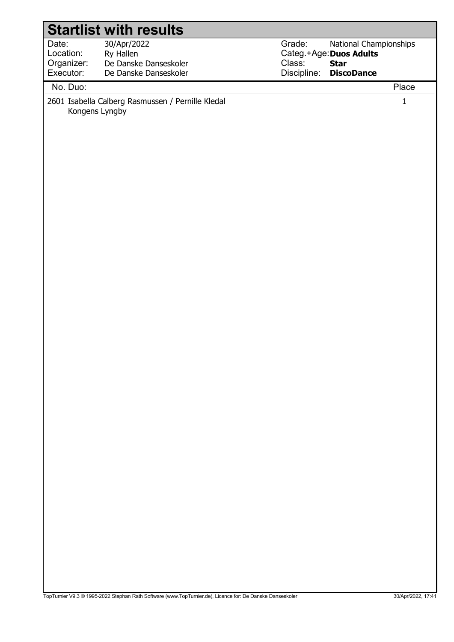|            | <b>Startlist with results</b>                                       |                                  |  |
|------------|---------------------------------------------------------------------|----------------------------------|--|
| Date:      | 30/Apr/2022                                                         | Grade:<br>National Championships |  |
| Location:  | Ry Hallen                                                           | Categ.+Age: Duos Adults          |  |
| Organizer: | De Danske Danseskoler                                               | Class:<br><b>Star</b>            |  |
| Executor:  | De Danske Danseskoler                                               | Discipline:<br><b>DiscoDance</b> |  |
| No. Duo:   |                                                                     | Place                            |  |
|            | 2601 Isabella Calberg Rasmussen / Pernille Kledal<br>Kongens Lyngby | $\mathbf{1}$                     |  |
|            |                                                                     |                                  |  |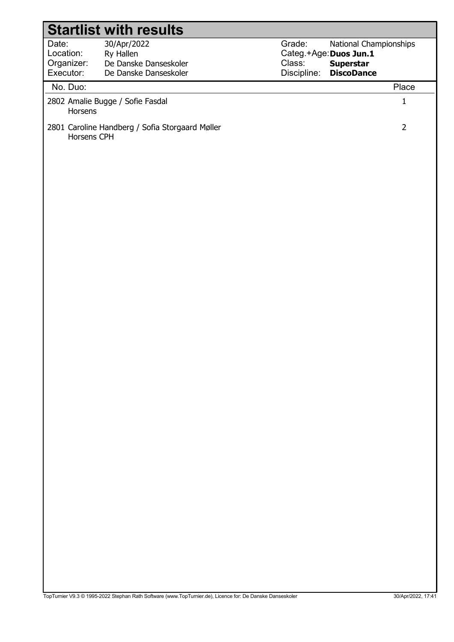|                                               | <b>Startlist with results</b>                                                                             |                                 |                                                                                           |                   |
|-----------------------------------------------|-----------------------------------------------------------------------------------------------------------|---------------------------------|-------------------------------------------------------------------------------------------|-------------------|
| Date:<br>Location:<br>Organizer:<br>Executor: | 30/Apr/2022<br>Ry Hallen<br>De Danske Danseskoler<br>De Danske Danseskoler                                | Grade:<br>Class:<br>Discipline: | National Championships<br>Categ.+Age: Duos Jun.1<br><b>Superstar</b><br><b>DiscoDance</b> |                   |
| No. Duo:                                      |                                                                                                           |                                 |                                                                                           | Place             |
| Horsens                                       | 2802 Amalie Bugge / Sofie Fasdal                                                                          |                                 |                                                                                           | $\mathbf 1$       |
| Horsens CPH                                   | 2801 Caroline Handberg / Sofia Storgaard Møller                                                           |                                 |                                                                                           | $\overline{2}$    |
|                                               |                                                                                                           |                                 |                                                                                           |                   |
|                                               |                                                                                                           |                                 |                                                                                           |                   |
|                                               |                                                                                                           |                                 |                                                                                           |                   |
|                                               |                                                                                                           |                                 |                                                                                           |                   |
|                                               |                                                                                                           |                                 |                                                                                           |                   |
|                                               |                                                                                                           |                                 |                                                                                           |                   |
|                                               |                                                                                                           |                                 |                                                                                           |                   |
|                                               |                                                                                                           |                                 |                                                                                           |                   |
|                                               |                                                                                                           |                                 |                                                                                           |                   |
|                                               |                                                                                                           |                                 |                                                                                           |                   |
|                                               |                                                                                                           |                                 |                                                                                           |                   |
|                                               |                                                                                                           |                                 |                                                                                           |                   |
|                                               | TopTurnier V9.3 @ 1995-2022 Stephan Rath Software (www.TopTurnier.de), Licence for: De Danske Danseskoler |                                 |                                                                                           | 30/Apr/2022, 17:4 |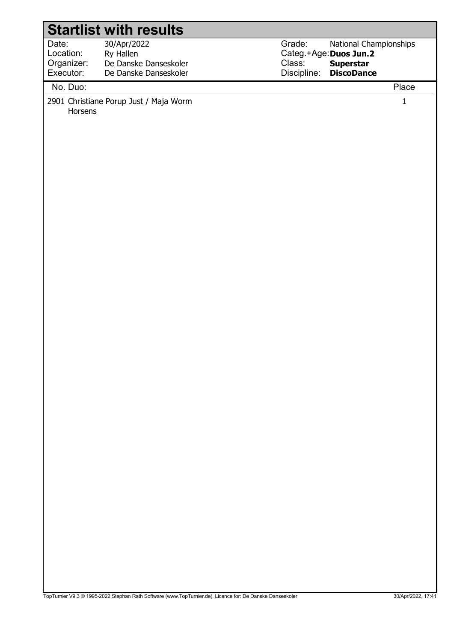|                                  | <b>Startlist with results</b>                                   |                                            |                                            |                      |
|----------------------------------|-----------------------------------------------------------------|--------------------------------------------|--------------------------------------------|----------------------|
| Date:<br>Location:<br>Organizer: | 30/Apr/2022<br>Ry Hallen<br>De Danske Danseskoler               | Grade:<br>Categ.+Age: Duos Jun.2<br>Class: | National Championships<br><b>Superstar</b> |                      |
|                                  |                                                                 |                                            |                                            |                      |
| Executor:<br>No. Duo:<br>Horsens | De Danske Danseskoler<br>2901 Christiane Porup Just / Maja Worm | Discipline:                                | <b>DiscoDance</b>                          | Place<br>$\mathbf 1$ |
|                                  |                                                                 |                                            |                                            |                      |

TopTurnier V9.3 © 1995-2022 Stephan Rath Software (www.TopTurnier.de), Licence for: De Danske Danseskoler 30/Apr/2022, 17:41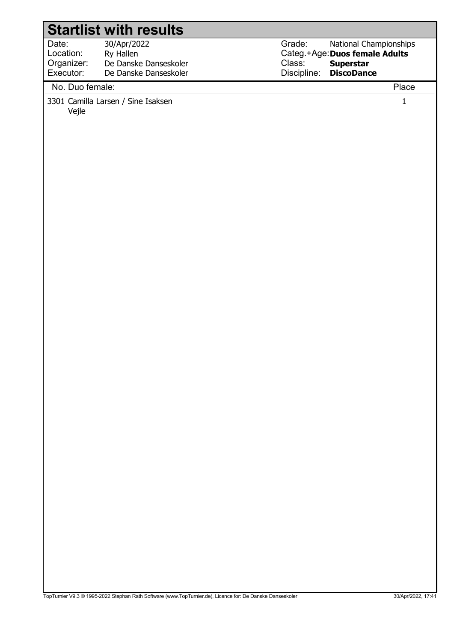|                                               | <b>Startlist with results</b>                                              |                                 |                                                                                            |              |
|-----------------------------------------------|----------------------------------------------------------------------------|---------------------------------|--------------------------------------------------------------------------------------------|--------------|
| Date:<br>Location:<br>Organizer:<br>Executor: | 30/Apr/2022<br>Ry Hallen<br>De Danske Danseskoler<br>De Danske Danseskoler | Grade:<br>Class:<br>Discipline: | National Championships<br>Categ.+Age: Duos female Adults<br>Superstar<br><b>DiscoDance</b> |              |
| No. Duo female:                               |                                                                            |                                 |                                                                                            | Place        |
| Vejle                                         | 3301 Camilla Larsen / Sine Isaksen                                         |                                 |                                                                                            | $\mathbf{1}$ |
|                                               |                                                                            |                                 |                                                                                            |              |
|                                               |                                                                            |                                 |                                                                                            |              |
|                                               |                                                                            |                                 |                                                                                            |              |
|                                               |                                                                            |                                 |                                                                                            |              |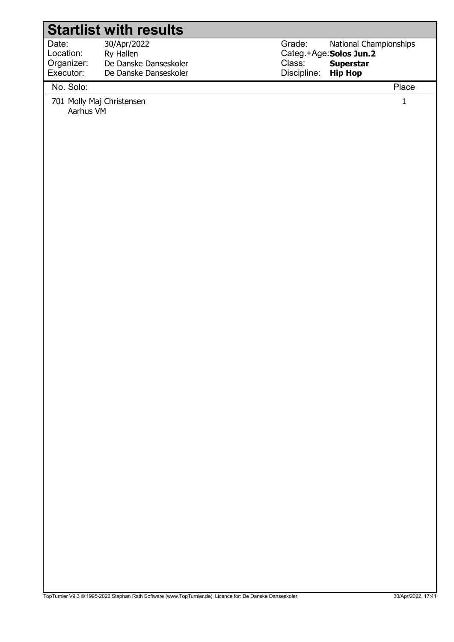## Date: Location: Grade: Categ.+Age: Solos Jun.2 Class: Discipline: 30/Apr/2022 Ry Hallen National Championships Superstar Hip Hop Organizer: Executor: De Danske Danseskoler De Danske Danseskoler Startlist with results No. Solo: Place 701 Molly Maj Christensen 1

Aarhus VM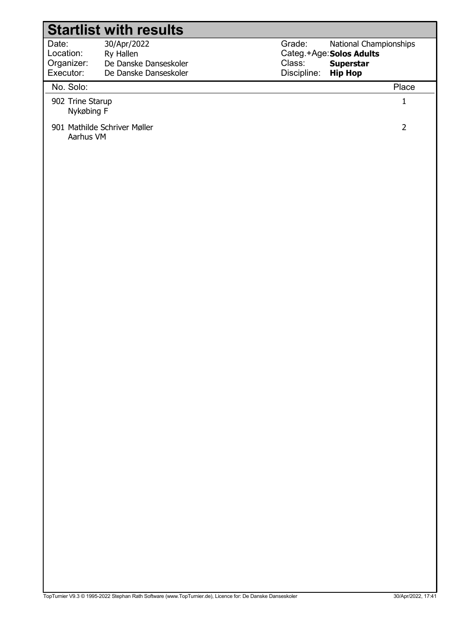|                                               | <b>Startlist with results</b>                                              |                                 |                                                                                          |
|-----------------------------------------------|----------------------------------------------------------------------------|---------------------------------|------------------------------------------------------------------------------------------|
| Date:<br>Location:<br>Organizer:<br>Executor: | 30/Apr/2022<br>Ry Hallen<br>De Danske Danseskoler<br>De Danske Danseskoler | Grade:<br>Class:<br>Discipline: | National Championships<br>Categ.+Age: Solos Adults<br><b>Superstar</b><br><b>Hip Hop</b> |
| No. Solo:                                     |                                                                            |                                 | Place                                                                                    |
| 902 Trine Starup<br>Nykøbing F                |                                                                            | $\mathbf{1}$                    |                                                                                          |
| Aarhus VM                                     | 901 Mathilde Schriver Møller                                               |                                 | $\overline{2}$                                                                           |
|                                               |                                                                            |                                 |                                                                                          |
|                                               |                                                                            |                                 |                                                                                          |
|                                               |                                                                            |                                 |                                                                                          |
|                                               |                                                                            |                                 |                                                                                          |
|                                               |                                                                            |                                 |                                                                                          |
|                                               |                                                                            |                                 |                                                                                          |
|                                               |                                                                            |                                 |                                                                                          |
|                                               |                                                                            |                                 |                                                                                          |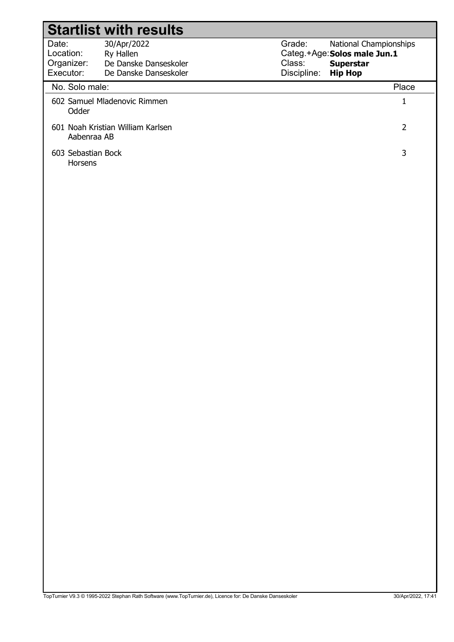| <b>Startlist with results</b>                    |                                                |                       |                                                               |  |
|--------------------------------------------------|------------------------------------------------|-----------------------|---------------------------------------------------------------|--|
| Date:<br>Location:                               | 30/Apr/2022<br>Ry Hallen                       | Grade:                | <b>National Championships</b><br>Categ.+Age: Solos male Jun.1 |  |
| Organizer:<br>Executor:                          | De Danske Danseskoler<br>De Danske Danseskoler | Class:<br>Discipline: | <b>Superstar</b><br><b>Hip Hop</b>                            |  |
| No. Solo male:                                   |                                                |                       | Place                                                         |  |
| Odder                                            | 602 Samuel Mladenovic Rimmen                   |                       | T                                                             |  |
| 601 Noah Kristian William Karlsen<br>Aabenraa AB |                                                |                       | 2                                                             |  |
| 603 Sebastian Bock<br><b>Horsens</b>             |                                                |                       | 3                                                             |  |
|                                                  |                                                |                       |                                                               |  |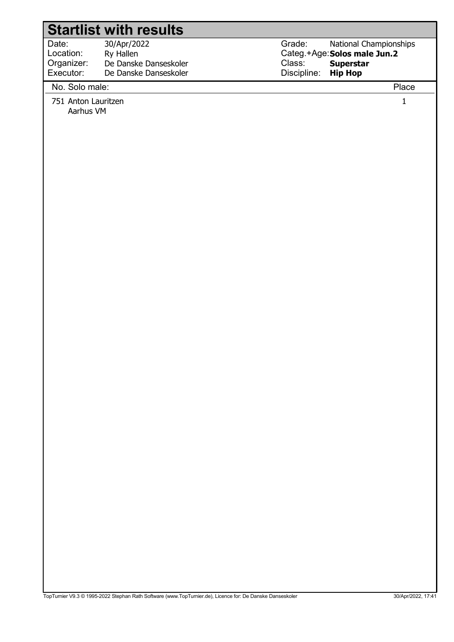## Startlist with results

Date: Location: Organizer: Executor:

 30/Apr/2022 Ry Hallen De Danske Danseskoler De Danske Danseskoler

Grade: Categ.+Age: Solos male Jun.2 Class: Discipline: National Championships Superstar Hip Hop

## No. Solo male: Place

751 Anton Lauritzen 1

Aarhus VM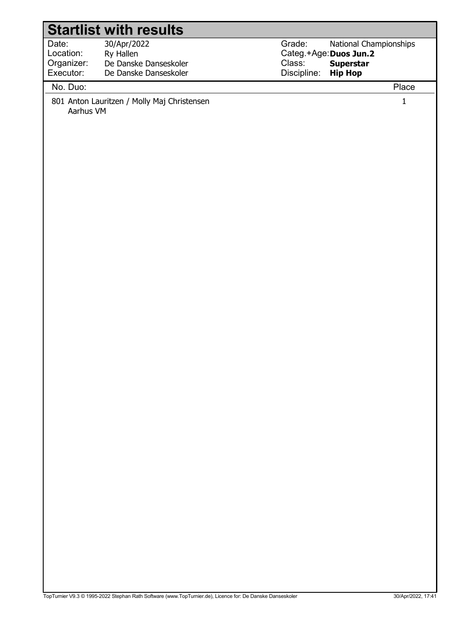|            | <b>Startlist with results</b>               |             |                        |
|------------|---------------------------------------------|-------------|------------------------|
| Date:      | 30/Apr/2022                                 | Grade:      | National Championships |
| Location:  | Ry Hallen                                   |             | Categ.+Age: Duos Jun.2 |
| Organizer: | De Danske Danseskoler                       | Class:      | <b>Superstar</b>       |
| Executor:  | De Danske Danseskoler                       | Discipline: | <b>Hip Hop</b>         |
| No. Duo:   |                                             |             | Place                  |
| Aarhus VM  | 801 Anton Lauritzen / Molly Maj Christensen |             | $\mathbf 1$            |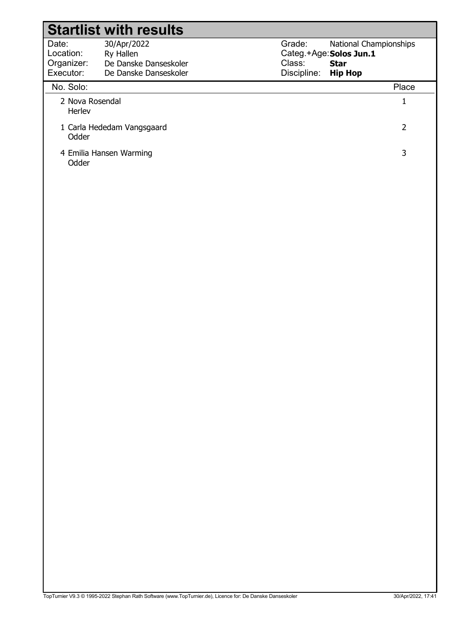|                           | <b>Startlist with results</b> |                         |                               |  |
|---------------------------|-------------------------------|-------------------------|-------------------------------|--|
| Date:                     | 30/Apr/2022                   | Grade:                  | <b>National Championships</b> |  |
| Location:                 | Ry Hallen                     | Categ.+Age: Solos Jun.1 |                               |  |
| Organizer:                | De Danske Danseskoler         | Class:                  | <b>Star</b>                   |  |
| Executor:                 | De Danske Danseskoler         | Discipline:             | <b>Hip Hop</b>                |  |
| No. Solo:                 |                               |                         | Place                         |  |
| 2 Nova Rosendal<br>Herley |                               |                         |                               |  |
| Odder                     | 1 Carla Hededam Vangsgaard    |                         | 2                             |  |
| Odder                     | 4 Emilia Hansen Warming       |                         | 3                             |  |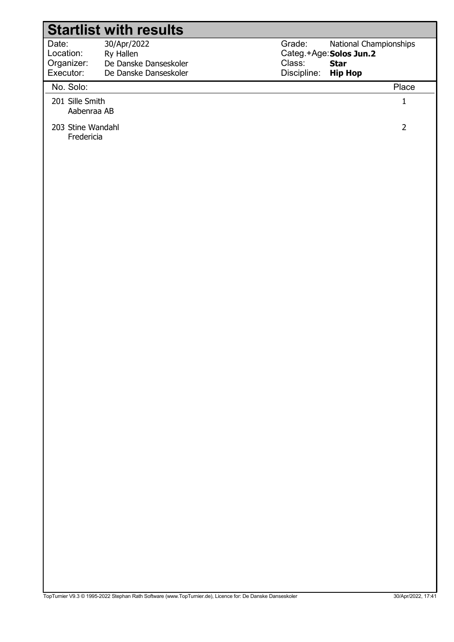|                                               | <b>Startlist with results</b>                                              |                                                                                                                       |                |
|-----------------------------------------------|----------------------------------------------------------------------------|-----------------------------------------------------------------------------------------------------------------------|----------------|
| Date:<br>Location:<br>Organizer:<br>Executor: | 30/Apr/2022<br>Ry Hallen<br>De Danske Danseskoler<br>De Danske Danseskoler | Grade:<br>National Championships<br>Categ.+Age: Solos Jun.2<br>Class:<br><b>Star</b><br>Discipline:<br><b>Hip Hop</b> |                |
| No. Solo:                                     |                                                                            |                                                                                                                       | Place          |
| 201 Sille Smith<br>Aabenraa AB                |                                                                            |                                                                                                                       | $\mathbf 1$    |
| 203 Stine Wandahl<br>Fredericia               |                                                                            |                                                                                                                       | $\overline{2}$ |
|                                               |                                                                            |                                                                                                                       |                |
|                                               |                                                                            |                                                                                                                       |                |
|                                               |                                                                            |                                                                                                                       |                |
|                                               |                                                                            |                                                                                                                       |                |
|                                               |                                                                            |                                                                                                                       |                |
|                                               |                                                                            |                                                                                                                       |                |
|                                               |                                                                            |                                                                                                                       |                |
|                                               |                                                                            |                                                                                                                       |                |
|                                               |                                                                            |                                                                                                                       |                |
|                                               |                                                                            |                                                                                                                       |                |
|                                               |                                                                            |                                                                                                                       |                |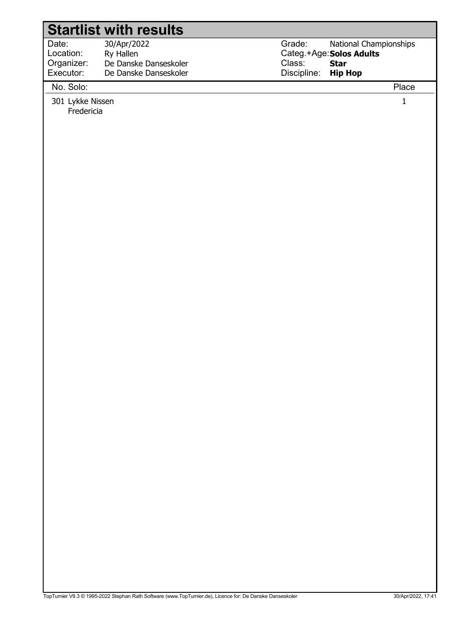## Startlist with results

Date: Location: 30/Apr/2022 Ry Hallen Organizer: Executor: De Danske Danseskoler De Danske Danseskoler Grade: Categ.+Age: Solos Adults Class: Discipline: National Championships Star Hip Hop

No. Solo: Place

301 Lykke Nissen 1 Fredericia

TopTurnier V9.3 © 1995-2022 Stephan Rath Software (www.TopTurnier.de), Licence for: De Danske Danseskoler 30/April 2022, 17:41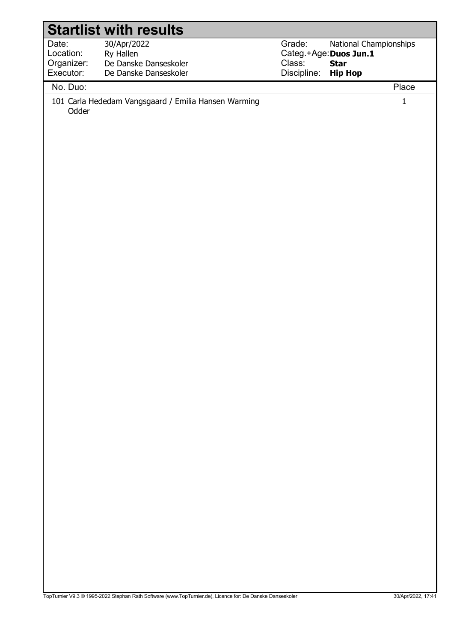| <b>Startlist with results</b> |                                                      |             |                        |  |
|-------------------------------|------------------------------------------------------|-------------|------------------------|--|
| Date:                         | 30/Apr/2022                                          | Grade:      | National Championships |  |
| Location:                     | Ry Hallen                                            |             | Categ.+Age: Duos Jun.1 |  |
| Organizer:                    | De Danske Danseskoler                                | Class:      | <b>Star</b>            |  |
| Executor:                     | De Danske Danseskoler                                | Discipline: | <b>Hip Hop</b>         |  |
| No. Duo:                      |                                                      |             | Place                  |  |
| Odder                         | 101 Carla Hededam Vangsgaard / Emilia Hansen Warming |             | $\mathbf{1}$           |  |
|                               |                                                      |             |                        |  |
|                               |                                                      |             |                        |  |
|                               |                                                      |             |                        |  |
|                               |                                                      |             |                        |  |
|                               |                                                      |             |                        |  |
|                               |                                                      |             |                        |  |
|                               |                                                      |             |                        |  |
|                               |                                                      |             |                        |  |
|                               |                                                      |             |                        |  |
|                               |                                                      |             |                        |  |
|                               |                                                      |             |                        |  |